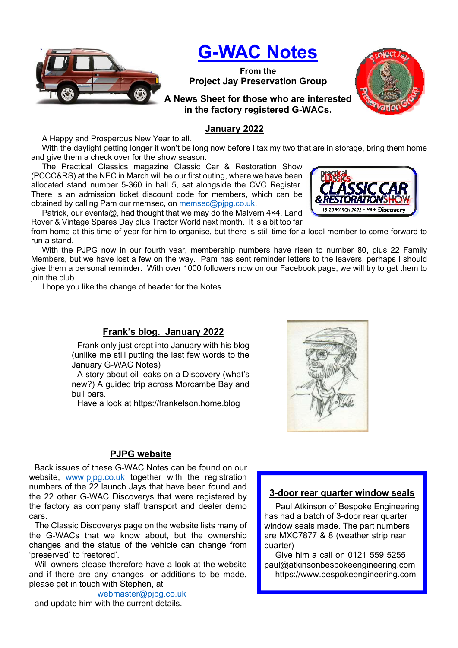

# G-WAC Notes

From the Project Jay Preservation Group

A News Sheet for those who are interested in the factory registered G-WACs.

## January 2022

A Happy and Prosperous New Year to all.

With the daylight getting longer it won't be long now before I tax my two that are in storage, bring them home and give them a check over for the show season.

The Practical Classics magazine Classic Car & Restoration Show (PCCC&RS) at the NEC in March will be our first outing, where we have been allocated stand number 5-360 in hall 5, sat alongside the CVC Register. There is an admission ticket discount code for members, which can be obtained by calling Pam our memsec, on memsec@pjpg.co.uk.

Patrick, our events@, had thought that we may do the Malvern 4×4, Land Rover & Vintage Spares Day plus Tractor World next month. It is a bit too far

from home at this time of year for him to organise, but there is still time for a local member to come forward to run a stand.

With the PJPG now in our fourth year, membership numbers have risen to number 80, plus 22 Family Members, but we have lost a few on the way. Pam has sent reminder letters to the leavers, perhaps I should give them a personal reminder. With over 1000 followers now on our Facebook page, we will try to get them to join the club.

I hope you like the change of header for the Notes.

### Frank's blog. January 2022

Frank only just crept into January with his blog (unlike me still putting the last few words to the January G-WAC Notes)

A story about oil leaks on a Discovery (what's new?) A guided trip across Morcambe Bay and bull bars.

Have a look at https://frankelson.home.blog



### PJPG website

Back issues of these G-WAC Notes can be found on our website, www.pjpg.co.uk together with the registration numbers of the 22 launch Jays that have been found and the 22 other G-WAC Discoverys that were registered by the factory as company staff transport and dealer demo cars.

The Classic Discoverys page on the website lists many of the G-WACs that we know about, but the ownership changes and the status of the vehicle can change from 'preserved' to 'restored'.

Will owners please therefore have a look at the website and if there are any changes, or additions to be made, please get in touch with Stephen, at

webmaster@pjpg.co.uk

and update him with the current details.

### 3-door rear quarter window seals

Paul Atkinson of Bespoke Engineering has had a batch of 3-door rear quarter window seals made. The part numbers are MXC7877 & 8 (weather strip rear quarter)

Give him a call on 0121 559 5255 paul@atkinsonbespokeengineering.com https://www.bespokeengineering.com



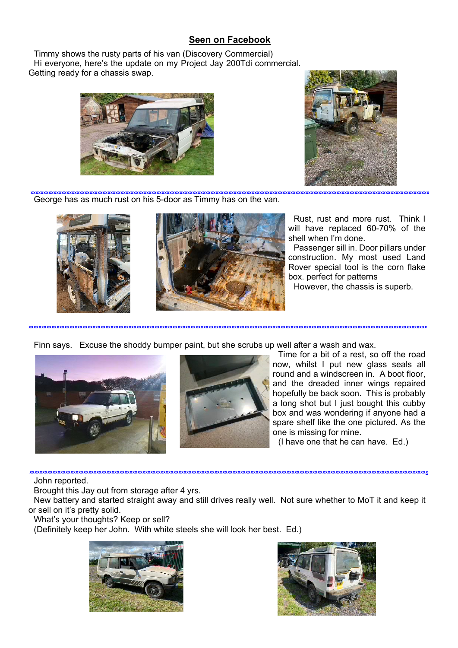# Seen on Facebook

Timmy shows the rusty parts of his van (Discovery Commercial) Hi everyone, here's the update on my Project Jay 200Tdi commercial. Getting ready for a chassis swap.





George has as much rust on his 5-door as Timmy has on the van. xxxxxxxxxxxxxxxxxxxxxxxxxxxxxxxxxxxxxxxxxxxxxxxxxxxxxxxxxxxxxxxxxxxxxxxxxxxxxxxxxxxxxxxxxxxxxxxxxxxxxxxxxxxxxxxxxxxxxxxxxxxxxxxxxxxxxxxxxxxxxxxxxxxxxxxxxxx





Rust, rust and more rust. Think I will have replaced 60-70% of the shell when I'm done.

Passenger sill in. Door pillars under construction. My most used Land Rover special tool is the corn flake box. perfect for patterns

However, the chassis is superb.

Finn says. Excuse the shoddy bumper paint, but she scrubs up well after a wash and wax.





xxxxxxxxxxxxxxxxxxxxxxxxxxxxxxxxxxxxxxxxxxxxxxxxxxxxxxxxxxxxxxxxxxxxxxxxxxxxxxxxxxxxxxxxxxxxxxxxxxxxxxxxxxxxxxxxxxxxxxxxxxxxxxxxxxxxxxxxxxxxxxxxxxxxxxxxxxx

Time for a bit of a rest, so off the road now, whilst I put new glass seals all round and a windscreen in. A boot floor, and the dreaded inner wings repaired hopefully be back soon. This is probably a long shot but I just bought this cubby box and was wondering if anyone had a spare shelf like the one pictured. As the one is missing for mine.

(I have one that he can have. Ed.)

#### John reported.

Brought this Jay out from storage after 4 yrs.

New battery and started straight away and still drives really well. Not sure whether to MoT it and keep it or sell on it's pretty solid.

xxxxxxxxxxxxxxxxxxxxxxxxxxxxxxxxxxxxxxxxxxxxxxxxxxxxxxxxxxxxxxxxxxxxxxxxxxxxxxxxxxxxxxxxxxxxxxxxxxxxxxxxxxxxxxxxxxxxxxxxxxxxxxxxxxxxxxxxxxxxxxxxxxxxxxxxxxx

What's your thoughts? Keep or sell?

(Definitely keep her John. With white steels she will look her best. Ed.)



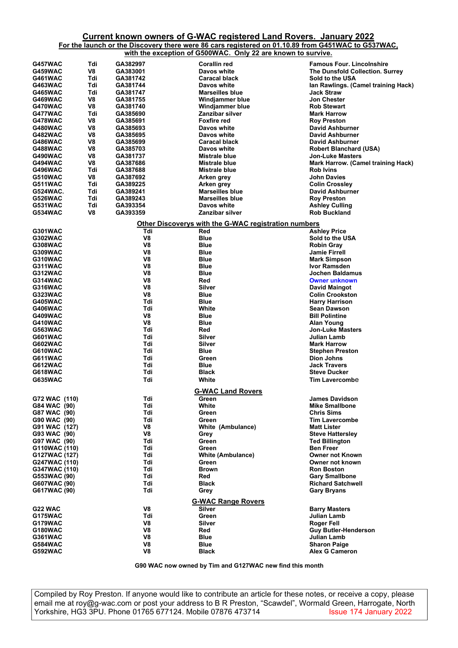## Current known owners of G-WAC registered Land Rovers. January 2022

For the launch or the Discovery there were 86 cars registered on 01.10.89 from G451WAC to G537WAC, with the exception of G500WAC. Only 22 are known to survive.

|                                                      |     | <u></u>        |                                     |                                        |  |
|------------------------------------------------------|-----|----------------|-------------------------------------|----------------------------------------|--|
| G457WAC                                              | Tdi | GA382997       | Corallin red                        | <b>Famous Four. Lincolnshire</b>       |  |
| G459WAC                                              | V8  | GA383001       | Davos white                         | <b>The Dunsfold Collection. Surrey</b> |  |
| G461WAC                                              | Tdi | GA381742       | <b>Caracal black</b>                | <b>Sold to the USA</b>                 |  |
|                                                      | Tdi |                |                                     |                                        |  |
| <b>G463WAC</b>                                       |     | GA381744       | Davos white                         | lan Rawlings. (Camel training Hack)    |  |
| <b>G465WAC</b>                                       | Tdi | GA381747       | <b>Marseilles blue</b>              | <b>Jack Straw</b>                      |  |
| G469WAC                                              | V8  | GA381755       | <b>Windjammer blue</b>              | <b>Jon Chester</b>                     |  |
| G470WAC                                              | V8  | GA381740       | Windjammer blue                     | <b>Rob Stewart</b>                     |  |
| G477WAC                                              | Tdi | GA385690       | Zanzibar silver                     | <b>Mark Harrow</b>                     |  |
| G478WAC                                              | V8  | GA385691       | Foxfire red                         | <b>Roy Preston</b>                     |  |
| G480WAC                                              | V8  | GA385693       | Davos white                         | <b>David Ashburner</b>                 |  |
| G482WAC                                              | V8  | GA385695       | Davos white                         | <b>David Ashburner</b>                 |  |
|                                                      |     |                |                                     |                                        |  |
| <b>G486WAC</b>                                       | V8  | GA385699       | Caracal black                       | <b>David Ashburner</b>                 |  |
| G488WAC                                              | V8  | GA385703       | Davos white                         | <b>Robert Blanchard (USA)</b>          |  |
| G490WAC                                              | V8  | GA381737       | <b>Mistrale blue</b>                | <b>Jon-Luke Masters</b>                |  |
| G494WAC                                              | V8  | GA387686       | <b>Mistrale blue</b>                | Mark Harrow. (Camel training Hack)     |  |
| G496WAC                                              | Tdi | GA387688       | Mistrale blue                       | <b>Rob Ivins</b>                       |  |
| G510WAC                                              | V8  | GA387692       | Arken grey                          | <b>John Davies</b>                     |  |
| G511WAC                                              | Tdi | GA389225       | Arken grey                          | <b>Colin Crossley</b>                  |  |
|                                                      |     |                |                                     |                                        |  |
| G524WAC.                                             | Tdi | GA389241       | <b>Marseilles blue</b>              | <b>David Ashburner</b>                 |  |
| G526WAC                                              | Tdi | GA389243       | <b>Marseilles blue</b>              | <b>Roy Preston</b>                     |  |
| G531WAC                                              | Tdi | GA393354       | <b>Davos white</b>                  | <b>Ashley Culling</b>                  |  |
| G534WAC                                              | V8  | GA393359       | Zanzibar silver                     | <b>Rob Buckland</b>                    |  |
|                                                      |     |                |                                     |                                        |  |
| Other Discoverys with the G-WAC registration numbers |     |                |                                     |                                        |  |
| <b>G301WAC</b>                                       |     | Tdi            | Red                                 | <b>Ashley Price</b>                    |  |
| G302WAC                                              |     | V8             | <b>Blue</b>                         | Sold to the USA                        |  |
| G308WAC                                              |     | V8             | <b>Blue</b>                         | <b>Robin Gray</b>                      |  |
| G309WAC                                              |     | V <sub>8</sub> | <b>Blue</b>                         | <b>Jamie Firrell</b>                   |  |
|                                                      |     |                |                                     |                                        |  |
| G310WAC                                              |     | V8             | Blue                                | <b>Mark Simpson</b>                    |  |
| G311WAC                                              |     | V8             | Blue                                | <b>Ivor Ramsden</b>                    |  |
| <b>G312WAC</b>                                       |     | V8             | Blue                                | Jochen Baldamus                        |  |
| G314WAC                                              |     | V8             | Red                                 | <b>Owner unknown</b>                   |  |
| G316WAC                                              |     | V8             | Silver                              | David Maingot                          |  |
| G323WAC                                              |     | V8             | <b>Blue</b>                         | <b>Colin Crookston</b>                 |  |
|                                                      |     |                |                                     |                                        |  |
| G405WAC                                              |     | Tdi            | <b>Blue</b>                         | <b>Harry Harrison</b>                  |  |
| <b>G406WAC</b>                                       |     | Tdi            | White                               | <b>Sean Dawson</b>                     |  |
| G409WAC                                              |     | V8             | <b>Blue</b>                         | <b>Bill Polintine</b>                  |  |
| G410WAC                                              |     | V8             | Blue                                | Alan Young                             |  |
| <b>G563WAC</b>                                       |     | Tdi            | Red                                 | <b>Jon-Luke Masters</b>                |  |
| <b>G601WAC</b>                                       |     | Tdi            | Silver                              | Julian Lamb                            |  |
|                                                      |     | Tdi            | Silver                              |                                        |  |
| <b>G602WAC</b>                                       |     |                |                                     | <b>Mark Harrow</b>                     |  |
| G610WAC                                              |     | Tdi            | Blue                                | <b>Stephen Preston</b>                 |  |
| G611WAC                                              |     | Tdi            | Green                               | <b>Dion Johns</b>                      |  |
| G612WAC                                              |     | Tdi            | <b>Blue</b>                         | <b>Jack Travers</b>                    |  |
| G618WAC                                              |     | Tdi            | Black                               | <b>Steve Ducker</b>                    |  |
| <b>G635WAC</b>                                       |     | Tdi            | White                               | <b>Tim Lavercombe</b>                  |  |
|                                                      |     |                |                                     |                                        |  |
| <b>G-WAC Land Rovers</b>                             |     |                |                                     |                                        |  |
| G72 WAC (110)                                        |     | Tdi            | Green                               | <b>James Davidson</b>                  |  |
| G84 WAC (90)                                         |     | Tdi            | White                               | <b>Mike Smallbone</b>                  |  |
|                                                      |     |                |                                     |                                        |  |
| G87 WAC (90)                                         |     | Tdi            | Green                               | <b>Chris Sims</b>                      |  |
| G90 WAC (90)                                         |     | Tdi            | Green                               | <b>Tim Lavercombe</b>                  |  |
| G91 WAC (127)                                        |     | V8             | White (Ambulance)                   | <b>Matt Lister</b>                     |  |
| G93 WAC (90)                                         |     | V8             | Grey                                | <b>Steve Hattersley</b>                |  |
| G97 WAC (90)                                         |     | Tdi            | Green                               | <b>Ted Billington</b>                  |  |
| G110WAC (110)                                        |     | Tdi            | Green                               | <b>Ben Freer</b>                       |  |
|                                                      |     |                |                                     |                                        |  |
| G127WAC (127)                                        |     | Tdi            | <b>White (Ambulance)</b>            | <b>Owner not Known</b>                 |  |
| G247WAC (110)                                        |     | Tdi            | Green                               | Owner not known                        |  |
| G347WAC (110)                                        |     | Tdi            | <b>Brown</b>                        | <b>Ron Boston</b>                      |  |
| G553WAC (90)                                         |     | Tdi            | Red                                 | <b>Gary Smallbone</b>                  |  |
| G607WAC (90)                                         |     | Tdi            | Black                               | <b>Richard Satchwell</b>               |  |
| G617WAC (90)                                         |     | Tdi            | Grey                                | <b>Gary Bryans</b>                     |  |
|                                                      |     |                |                                     |                                        |  |
| G22 WAC                                              |     | V8             | <b>G-WAC Range Rovers</b><br>Silver | <b>Barry Masters</b>                   |  |
|                                                      |     | Tdi            | Green                               | <b>Julian Lamb</b>                     |  |
| G175WAC                                              |     |                |                                     |                                        |  |
| G179WAC                                              |     | V8             | Silver                              | Roger Fell                             |  |
| G180WAC                                              |     | V <sub>8</sub> | Red                                 | <b>Guy Butler-Henderson</b>            |  |
| G361WAC                                              |     | V8             | <b>Blue</b>                         | Julian Lamb                            |  |
| G584WAC                                              |     | V <sub>8</sub> | Blue                                | <b>Sharon Paige</b>                    |  |
| G592WAC                                              |     | V8             | <b>Black</b>                        | Alex G Cameron                         |  |
|                                                      |     |                |                                     |                                        |  |

G90 WAC now owned by Tim and G127WAC new find this month

Compiled by Roy Preston. If anyone would like to contribute an article for these notes, or receive a copy, please email me at roy@g-wac.com or post your address to B R Preston, "Scawdel", Wormald Green, Harrogate, North Yorkshire, HG3 3PU. Phone 01765 677124. Mobile 07876 473714 Issue 174 January 2022